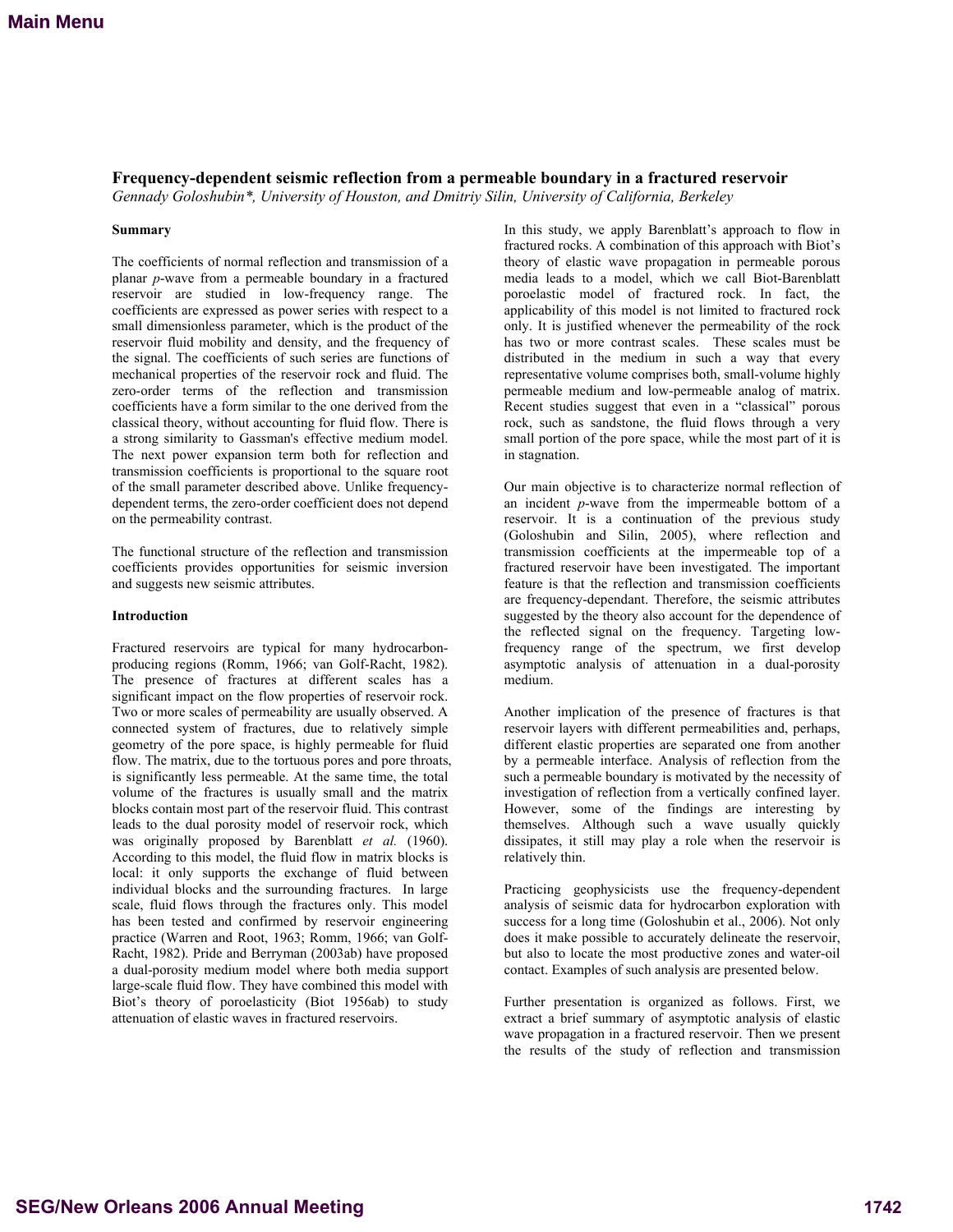# **Frequency-dependent seismic reflection from a permeable boundary in a fractured reservoir**

*Gennady Goloshubin\*, University of Houston, and Dmitriy Silin, University of California, Berkeley* 

# **Summary**

The coefficients of normal reflection and transmission of a planar *p*-wave from a permeable boundary in a fractured reservoir are studied in low-frequency range. The coefficients are expressed as power series with respect to a small dimensionless parameter, which is the product of the reservoir fluid mobility and density, and the frequency of the signal. The coefficients of such series are functions of mechanical properties of the reservoir rock and fluid. The zero-order terms of the reflection and transmission coefficients have a form similar to the one derived from the classical theory, without accounting for fluid flow. There is a strong similarity to Gassman's effective medium model. The next power expansion term both for reflection and transmission coefficients is proportional to the square root of the small parameter described above. Unlike frequencydependent terms, the zero-order coefficient does not depend on the permeability contrast.

<span id="page-0-0"></span>The functional structure of the reflection and transmission coefficients provides opportunities for seismic inversion and suggests new seismic attributes.

# **Introduction**

Fractured reservoirs are typical for many hydrocarbonproducing regions (Romm, 1966; van Golf-Racht, 1982). The presence of fractures at different scales has a significant impact on the flow properties of reservoir rock. Two or more scales of permeability are usually observed. A connected system of fractures, due to relatively simple geometry of the pore space, is highly permeable for fluid flow. The matrix, due to the tortuous pores and pore throats, is significantly less permeable. At the same time, the total volume of the fractures is usually small and the matrix blocks contain most part of the reservoir fluid. This contrast leads to the dual porosity model of reservoir rock, which was originally proposed by Barenblatt *et al.* (1960). According to this model, the fluid flow in matrix blocks is local: it only supports the exchange of fluid between individual blocks and the surrounding fractures. In large scale, fluid flows through the fractures only. This model has been tested and confirmed by reservoir engineering practice (Warren and Root, 1963; Romm, 1966; van Golf-Racht, 1982). Pride and Berryman (2003ab) have proposed a dual-porosity medium model where both media support large-scale fluid flow. They have combined this model with Biot's theory of poroelasticity (Biot 1956ab) to study attenuation of elastic waves in fractured reservoirs.

In this study, we apply Barenblatt's approach to flow in fractured rocks. A combination of this approach with Biot's theory of elastic wave propagation in permeable porous media leads to a model, which we call Biot-Barenblatt poroelastic model of fractured rock. In fact, the applicability of this model is not limited to fractured rock only. It is justified whenever the permeability of the rock has two or more contrast scales. These scales must be distributed in the medium in such a way that every representative volume comprises both, small-volume highly permeable medium and low-permeable analog of matrix. Recent studies suggest that even in a "classical" porous rock, such as sandstone, the fluid flows through a very small portion of the pore space, while the most part of it is in stagnation.

Our main objective is to characterize normal reflection of an incident *p*-wave from the impermeable bottom of a reservoir. It is a continuation of the previous study (Goloshubin and Silin, 2005), where reflection and transmission coefficients at the impermeable top of a fractured reservoir have been investigated. The important feature is that the reflection and transmission coefficients are frequency-dependant. Therefore, the seismic attributes suggested by the theory also account for the dependence of the reflected signal on the frequency. Targeting lowfrequency range of the spectrum, we first develop asymptotic analysis of attenuation in a dual-porosity medium.

Another implication of the presence of fractures is that reservoir layers with different permeabilities and, perhaps, different elastic properties are separated one from another by a permeable interface. Analysis of reflection from the such a permeable boundary is motivated by the necessity of investigation of reflection from a vertically confined layer. However, some of the findings are interesting by themselves. Although such a wave usually quickly dissipates, it still may play a role when the reservoir is relatively thin.

Practicing geophysicists use the frequency-dependent analysis of seismic data for hydrocarbon exploration with success for a long time (Goloshubin et al., 2006). Not only does it make possible to accurately delineate the reservoir, but also to locate the most productive zones and water-oil contact. Examples of such analysis are presented below.

Further presentation is organized as follows. First, we extract a brief summary of asymptotic analysis of elastic wave propagation in a fractured reservoir. Then we present the results of the study of reflection and transmission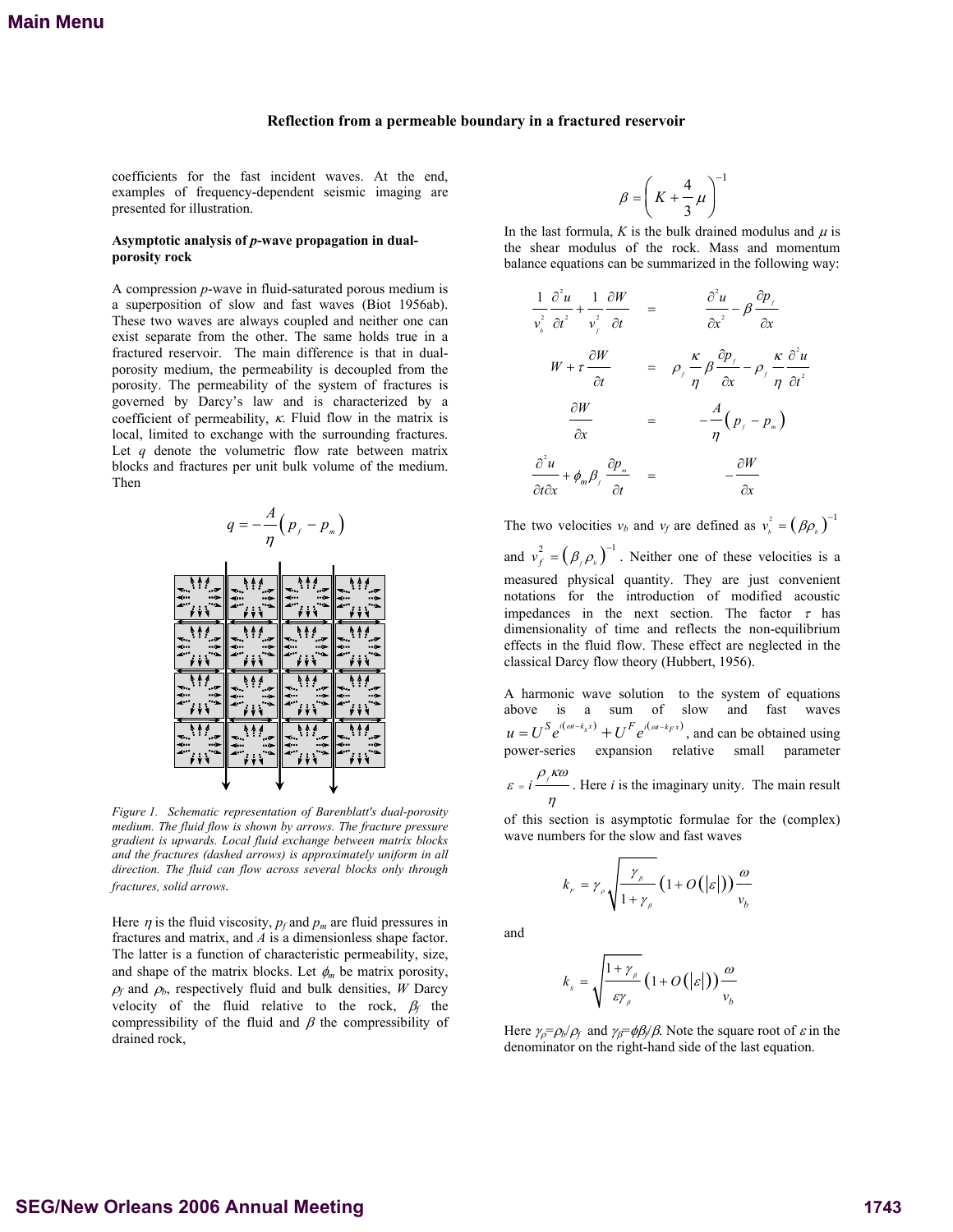## **Reflection from a permeable boundary in a fractured reservoir**

coefficients for the fast incident waves. At the end, examples of frequency-dependent seismic imaging are presented for illustration.

# Asymptotic analysis of *p*-wave propagation in dual**porosity rock**

A compression *p*-wave in fluid-saturated porous medium is a superposition of slow and fast waves (Biot 1956ab). These two waves are always coupled and neither one can exist separate from the other. The same holds true in a fractured reservoir. The main difference is that in dualporosity medium, the permeability is decoupled from the porosity. The permeability of the system of fractures is governed by Darcy's law and is characterized by a coefficient of permeability,  $\kappa$ . Fluid flow in the matrix is local, limited to exchange with the surrounding fractures. Let *q* denote the volumetric flow rate between matrix blocks and fractures per unit bulk volume of the medium. Then



*Figure 1. Schematic representation of Barenblatt's dual-porosity medium. The fluid flow is shown by arrows. The fracture pressure gradient is upwards. Local fluid exchange between matrix blocks and the fractures (dashed arrows) is approximately uniform in all direction. The fluid can flow across several blocks only through fractures, solid arrows.* 

Here  $\eta$  is the fluid viscosity,  $p_f$  and  $p_m$  are fluid pressures in fractures and matrix, and *A* is a dimensionless shape factor. The latter is a function of characteristic permeability, size, and shape of the matrix blocks. Let  $\phi_m$  be matrix porosity,  $\rho_f$  and  $\rho_b$ , respectively fluid and bulk densities, *W* Darcy velocity of the fluid relative to the rock, β*f* the compressibility of the fluid and  $\beta$  the compressibility of drained rock,

$$
\beta = \left(K + \frac{4}{3}\mu\right)^{-1}
$$

In the last formula,  $K$  is the bulk drained modulus and  $\mu$  is the shear modulus of the rock. Mass and momentum balance equations can be summarized in the following way:

$$
\frac{1}{v_s^2} \frac{\partial^2 u}{\partial t^2} + \frac{1}{v_f^2} \frac{\partial W}{\partial t} = \frac{\partial^2 u}{\partial x^2} - \beta \frac{\partial p_f}{\partial x}
$$
  
\n
$$
W + \tau \frac{\partial W}{\partial t} = \rho_f \frac{\kappa}{\eta} \frac{\partial p_f}{\partial x} - \rho_f \frac{\kappa}{\eta} \frac{\partial^2 u}{\partial t^2}
$$
  
\n
$$
\frac{\partial W}{\partial x} = -\frac{A}{\eta} (p_f - p_n)
$$
  
\n
$$
\frac{\partial^2 u}{\partial t \partial x} + \phi_m \beta_f \frac{\partial p_m}{\partial t} = -\frac{\partial W}{\partial x}
$$

The two velocities  $v_b$  and  $v_f$  are defined as  $v_b^2 = (\beta \rho_b)^{-1}$ and  $v_f^2 = (\beta_f \rho_b)^{-1}$ . Neither one of these velocities is a measured physical quantity. They are just convenient notations for the introduction of modified acoustic impedances in the next section. The factor  $\tau$  has dimensionality of time and reflects the non-equilibrium effects in the fluid flow. These effect are neglected in the classical Darcy flow theory (Hubbert, 1956).

A harmonic wave solution to the system of equations above is a sum of slow and fast waves  $u = U^S e^{i(\omega t - k_s x)} + U^F e^{i(\omega t - k_F x)}$ , and can be obtained using power-series expansion relative small parameter

 $\epsilon = i \frac{\rho_f \kappa \omega}{\sqrt{\frac{\rho_f}{\rho \omega}}}$ η  $= i \frac{1}{1}$ . Here *i* is the imaginary unity. The main result

of this section is asymptotic formulae for the (complex) wave numbers for the slow and fast waves

$$
k_{F} = \gamma_{\rho} \sqrt{\frac{\gamma_{\rho}}{1 + \gamma_{\rho}}} \left(1 + O(|\varepsilon|)\right) \frac{\omega}{v_{b}}
$$

and

$$
k_{s} = \sqrt{\frac{1 + \gamma_{\beta}}{\varepsilon \gamma_{\beta}} \left(1 + O\left(\left|\varepsilon\right|\right)\right) \frac{\omega}{v_{b}}}
$$

Here  $\gamma_{\rho} = \rho_b / \rho_f$  and  $\gamma_{\beta} = \phi \beta_f / \beta$ . Note the square root of  $\varepsilon$  in the denominator on the right-hand side of the last equation.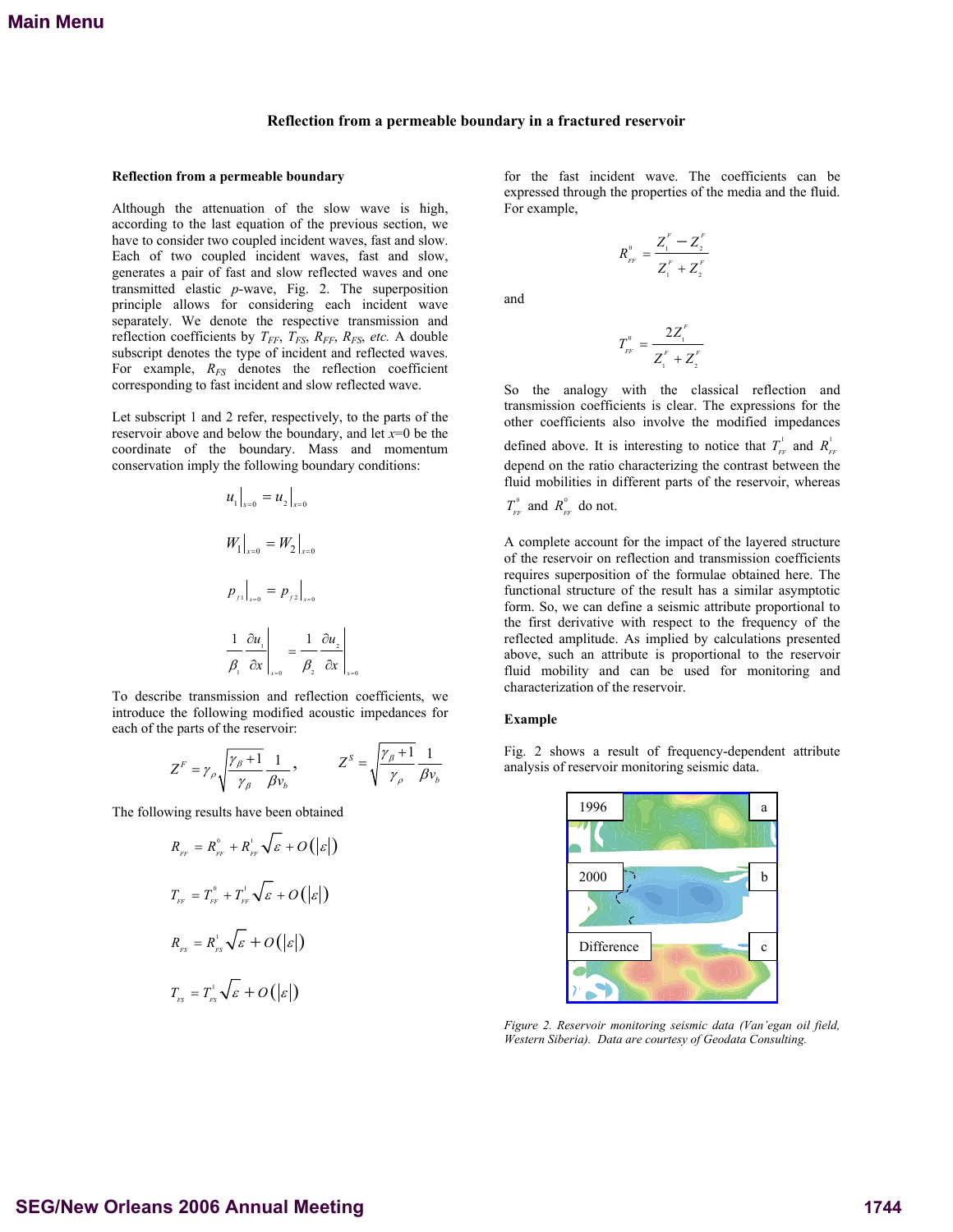## **Reflection from a permeable boundary in a fractured reservoir**

## **Reflection from a permeable boundary**

Although the attenuation of the slow wave is high, according to the last equation of the previous section, we have to consider two coupled incident waves, fast and slow. Each of two coupled incident waves, fast and slow, generates a pair of fast and slow reflected waves and one transmitted elastic *p*-wave, Fig. 2. The superposition principle allows for considering each incident wave separately. We denote the respective transmission and reflection coefficients by  $T_{FF}$ ,  $T_{FS}$ ,  $R_{FF}$ ,  $R_{FS}$ , etc. A double subscript denotes the type of incident and reflected waves. For example,  $R_{FS}$  denotes the reflection coefficient corresponding to fast incident and slow reflected wave.

Let subscript 1 and 2 refer, respectively, to the parts of the reservoir above and below the boundary, and let *x*=0 be the coordinate of the boundary. Mass and momentum conservation imply the following boundary conditions:

$$
u_1\big|_{x=0} = u_2\big|_{x=0}
$$
  

$$
W_1\big|_{x=0} = W_2\big|_{x=0}
$$
  

$$
p_{f1}\big|_{x=0} = p_{f2}\big|_{x=0}
$$
  

$$
\frac{1}{\beta_1} \frac{\partial u_1}{\partial x}\big|_{x=0} = \frac{1}{\beta_2} \frac{\partial u_2}{\partial x}\big|_{x=0}
$$

To describe transmission and reflection coefficients, we introduce the following modified acoustic impedances for each of the parts of the reservoir:

$$
Z^{F} = \gamma_{\rho} \sqrt{\frac{\gamma_{\rho} + 1}{\gamma_{\rho}}} \frac{1}{\beta v_{b}}, \qquad Z^{S} = \sqrt{\frac{\gamma_{\rho} + 1}{\gamma_{\rho}}} \frac{1}{\beta v_{b}}
$$

The following results have been obtained

$$
R_{_{FF}} = R_{_{FF}}^{\circ} + R_{_{FF}}^{\circ} \sqrt{\varepsilon} + O(|\varepsilon|)
$$
  

$$
T_{_{FF}} = T_{_{FF}}^{\circ} + T_{_{FF}}^{\circ} \sqrt{\varepsilon} + O(|\varepsilon|)
$$
  

$$
R_{_{FS}} = R_{_{FS}}^{\circ} \sqrt{\varepsilon} + O(|\varepsilon|)
$$
  

$$
T_{_{FS}} = T_{_{FS}}^{\circ} \sqrt{\varepsilon} + O(|\varepsilon|)
$$

for the fast incident wave. The coefficients can be expressed through the properties of the media and the fluid. For example,

$$
R_{_{FF}}^{^{0}} = \frac{Z_{_{1}}^{^{F}} - Z_{_{2}}^{^{F}}}{Z_{_{1}}^{^{F}} + Z_{_{2}}^{^{F}}}
$$

and

$$
T_{_{FF}}^{^{0}} = \frac{2Z_{_{1}}^{^{F}}}{Z_{_{1}}^{^{F}} + Z_{_{2}}^{^{F}}}
$$

So the analogy with the classical reflection and transmission coefficients is clear. The expressions for the other coefficients also involve the modified impedances

defined above. It is interesting to notice that  $T_{\text{FF}}^1$  and  $R_{\text{FF}}^1$ depend on the ratio characterizing the contrast between the fluid mobilities in different parts of the reservoir, whereas

 $T_{\text{FF}}^{\text{o}}$  and  $R_{\text{FF}}^{\text{o}}$  do not.

A complete account for the impact of the layered structure of the reservoir on reflection and transmission coefficients requires superposition of the formulae obtained here. The functional structure of the result has a similar asymptotic form. So, we can define a seismic attribute proportional to the first derivative with respect to the frequency of the reflected amplitude. As implied by calculations presented above, such an attribute is proportional to the reservoir fluid mobility and can be used for monitoring and characterization of the reservoir.

#### **Example**

Fig. 2 shows a result of frequency-dependent attribute analysis of reservoir monitoring seismic data.



*Figure 2. Reservoir monitoring seismic data (Van'egan oil field, Western Siberia). Data are courtesy of Geodata Consulting.*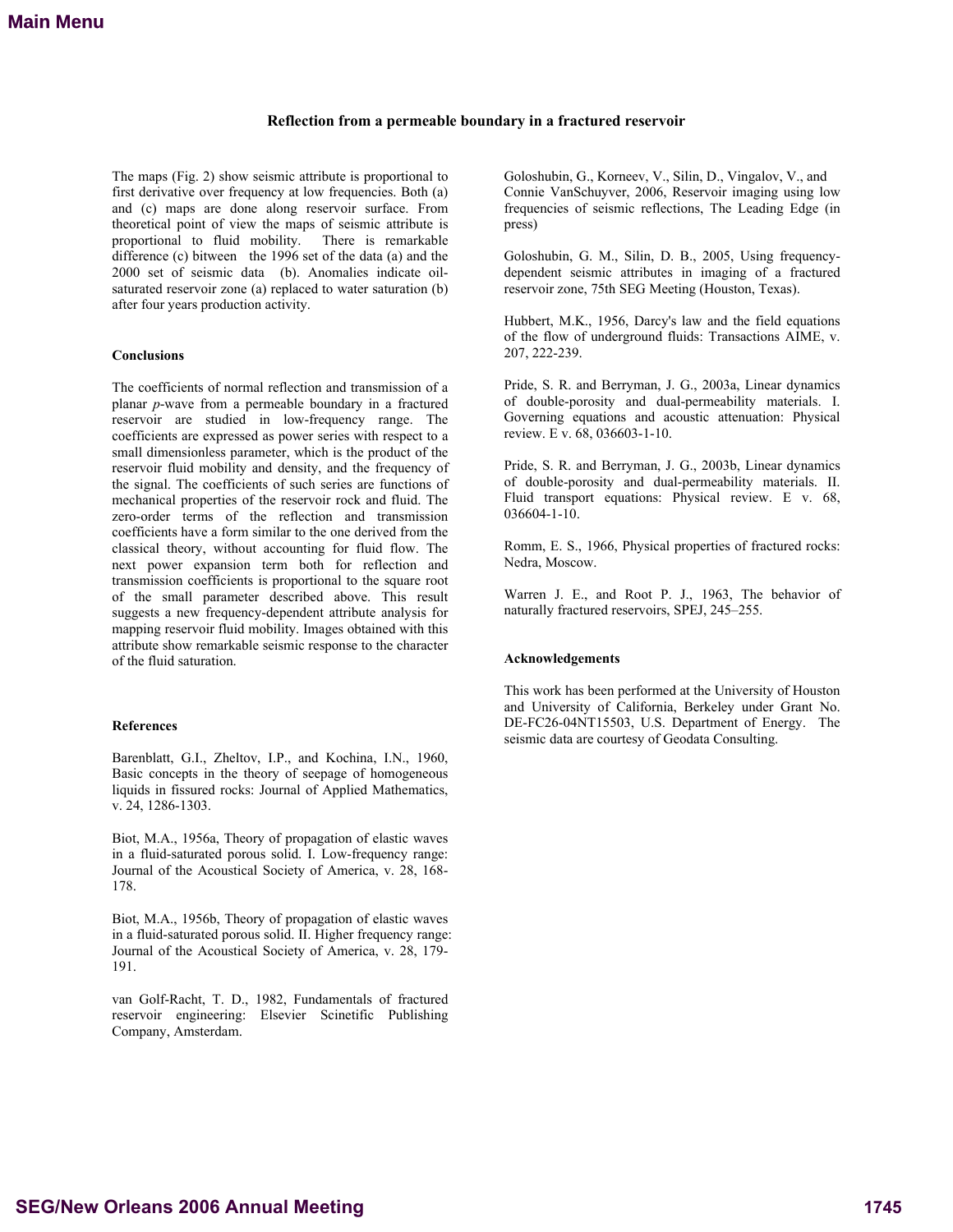# **Reflection from a permeable boundary in a fractured reservoir**

The maps (Fig. 2) show seismic attribute is proportional to first derivative over frequency at low frequencies. Both (a) and (c) maps are done along reservoir surface. From theoretical point of view the maps of seismic attribute is proportional to fluid mobility. There is remarkable difference (c) bitween the 1996 set of the data (a) and the 2000 set of seismic data (b). Anomalies indicate oilsaturated reservoir zone (a) replaced to water saturation (b) after four years production activity.

### **Conclusions**

The coefficients of normal reflection and transmission of a planar *p*-wave from a permeable boundary in a fractured reservoir are studied in low-frequency range. The coefficients are expressed as power series with respect to a small dimensionless parameter, which is the product of the reservoir fluid mobility and density, and the frequency of the signal. The coefficients of such series are functions of mechanical properties of the reservoir rock and fluid. The zero-order terms of the reflection and transmission coefficients have a form similar to the one derived from the classical theory, without accounting for fluid flow. The next power expansion term both for reflection and transmission coefficients is proportional to the square root of the small parameter described above. This result suggests a new frequency-dependent attribute analysis for mapping reservoir fluid mobility. Images obtained with this attribute show remarkable seismic response to the character of the fluid saturation.

## **References**

Barenblatt, G.I., Zheltov, I.P., and Kochina, I.N., 1960, Basic concepts in the theory of seepage of homogeneous liquids in fissured rocks: Journal of Applied Mathematics, v. 24, 1286-1303.

Biot, M.A., 1956a, Theory of propagation of elastic waves in a fluid-saturated porous solid. I. Low-frequency range: Journal of the Acoustical Society of America, v. 28, 168- 178.

Biot, M.A., 1956b, Theory of propagation of elastic waves in a fluid-saturated porous solid. II. Higher frequency range: Journal of the Acoustical Society of America, v. 28, 179- 191.

van Golf-Racht, T. D., 1982, Fundamentals of fractured reservoir engineering: Elsevier Scinetific Publishing Company, Amsterdam.

Goloshubin, G., Korneev, V., Silin, D., Vingalov, V., and Connie VanSchuyver, 2006, Reservoir imaging using low frequencies of seismic reflections, The Leading Edge (in press)

Goloshubin, G. M., Silin, D. B., 2005, Using frequencydependent seismic attributes in imaging of a fractured reservoir zone, 75th SEG Meeting (Houston, Texas).

Hubbert, M.K., 1956, Darcy's law and the field equations of the flow of underground fluids: Transactions AIME, v. 207, 222-239.

Pride, S. R. and Berryman, J. G., 2003a, Linear dynamics of double-porosity and dual-permeability materials. I. Governing equations and acoustic attenuation: Physical review. E v. 68, 036603-1-10.

Pride, S. R. and Berryman, J. G., 2003b, Linear dynamics of double-porosity and dual-permeability materials. II. Fluid transport equations: Physical review. E v. 68, 036604-1-10.

Romm, E. S., 1966, Physical properties of fractured rocks: Nedra, Moscow.

Warren J. E., and Root P. J., 1963, The behavior of naturally fractured reservoirs, SPEJ, 245–255.

# **Acknowledgements**

This work has been performed at the University of Houston and University of California, Berkeley under Grant No. DE-FC26-04NT15503, U.S. Department of Energy. The seismic data are courtesy of Geodata Consulting.